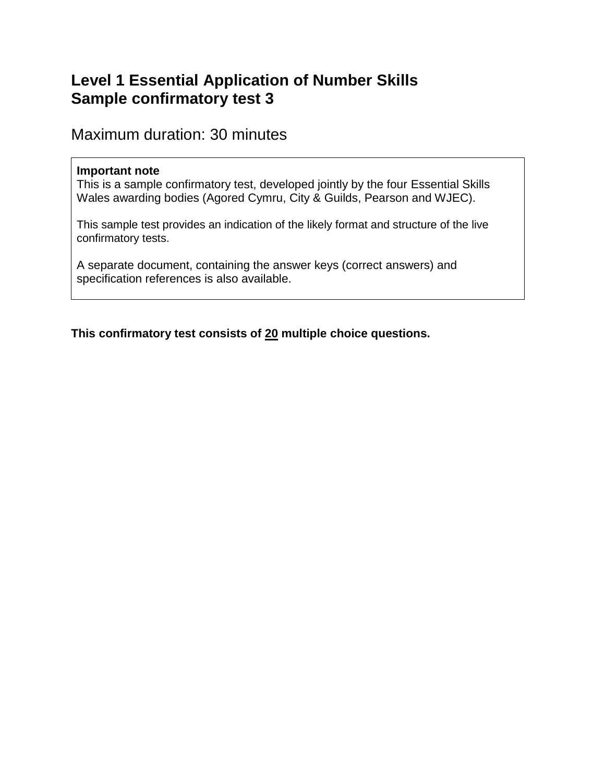# **Level 1 Essential Application of Number Skills Sample confirmatory test 3**

Maximum duration: 30 minutes

### **Important note**

This is a sample confirmatory test, developed jointly by the four Essential Skills Wales awarding bodies (Agored Cymru, City & Guilds, Pearson and WJEC).

This sample test provides an indication of the likely format and structure of the live confirmatory tests.

A separate document, containing the answer keys (correct answers) and specification references is also available.

**This confirmatory test consists of 20 multiple choice questions.**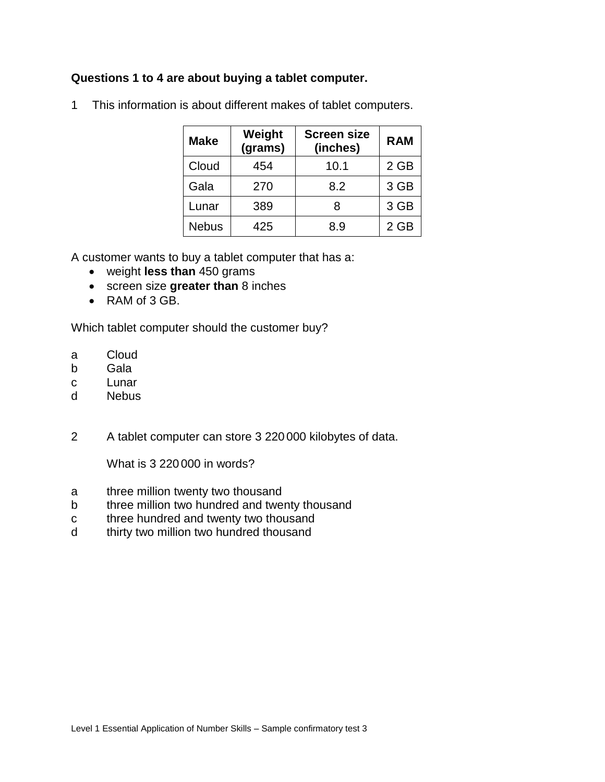#### **Questions 1 to 4 are about buying a tablet computer.**

| <b>Make</b>  | Weight<br>(grams) | <b>Screen size</b><br>(inches) | <b>RAM</b> |  |
|--------------|-------------------|--------------------------------|------------|--|
| Cloud        | 454               | 10.1                           | 2 GB       |  |
| Gala         | 270               | 8.2                            | 3 GB       |  |
| Lunar        | 389               | R                              | 3 GB       |  |
| <b>Nebus</b> | 425               | 8.9                            | $2$ GB     |  |

1 This information is about different makes of tablet computers.

A customer wants to buy a tablet computer that has a:

- weight **less than** 450 grams
- screen size **greater than** 8 inches
- RAM of 3 GB.

Which tablet computer should the customer buy?

- a Cloud
- b Gala
- c Lunar
- d Nebus
- 2 A tablet computer can store 3 220 000 kilobytes of data.

What is 3 220 000 in words?

- a three million twenty two thousand
- b three million two hundred and twenty thousand
- c three hundred and twenty two thousand
- d thirty two million two hundred thousand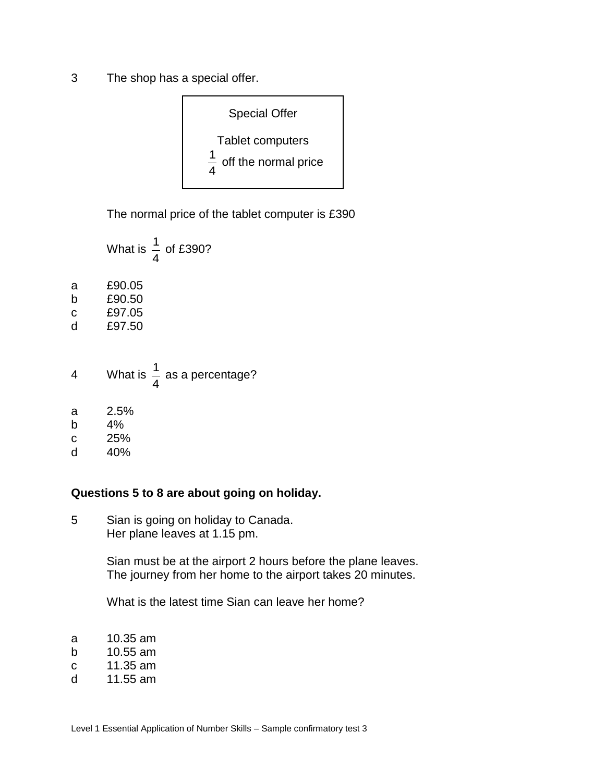3 The shop has a special offer.



The normal price of the tablet computer is £390

|   | What is $\frac{1}{4}$ of £390?         |
|---|----------------------------------------|
| a | £90.05                                 |
| b | £90.50                                 |
| C | £97.05                                 |
| d | £97.50                                 |
| 4 | What is $\frac{1}{4}$ as a percentage? |
| a | 2.5%                                   |
| b | 4%                                     |
| C | 25%                                    |

d 40%

#### **Questions 5 to 8 are about going on holiday.**

5 Sian is going on holiday to Canada. Her plane leaves at 1.15 pm.

> Sian must be at the airport 2 hours before the plane leaves. The journey from her home to the airport takes 20 minutes.

What is the latest time Sian can leave her home?

- a 10.35 am
- b 10.55 am
- c 11.35 am
- d 11.55 am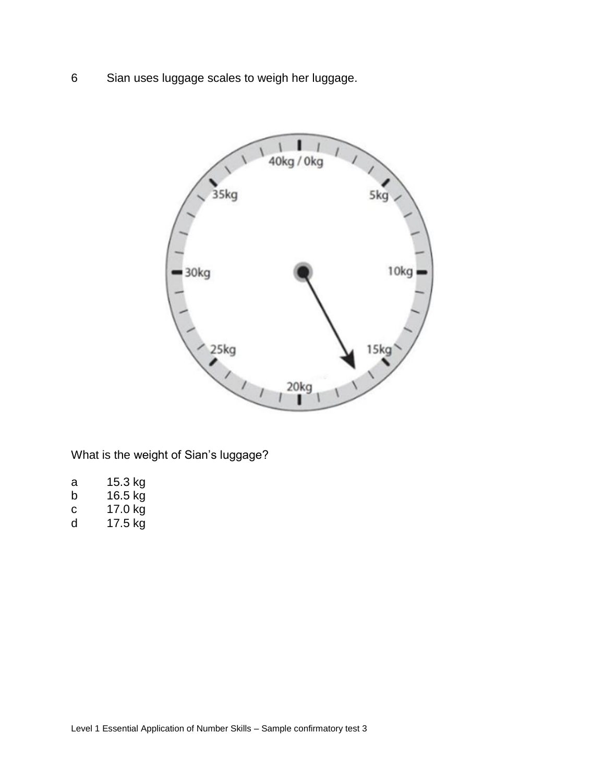6 Sian uses luggage scales to weigh her luggage.



What is the weight of Sian's luggage?

| а | 15.3 kg       |  |
|---|---------------|--|
|   | $40T_{\odot}$ |  |

- b 16.5 kg c 17.0 kg
- d 17.5 kg
-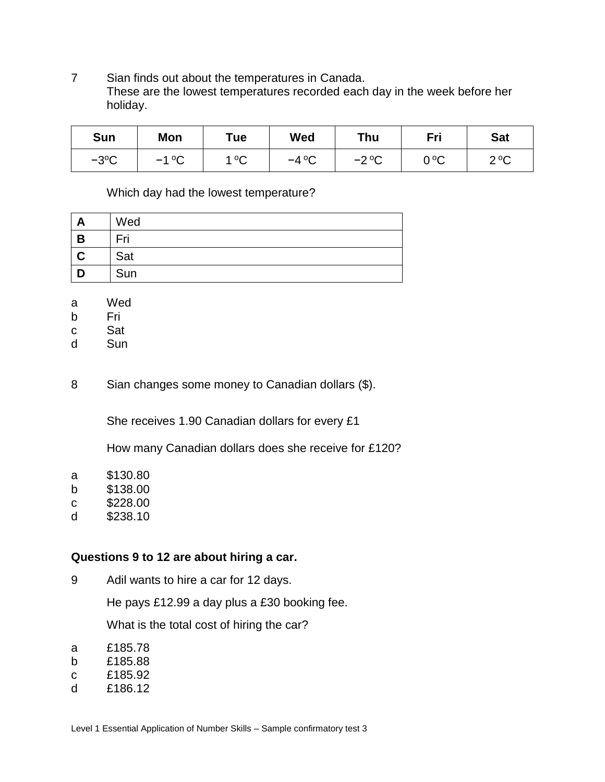7 Sian finds out about the temperatures in Canada. These are the lowest temperatures recorded each day in the week before her holiday.

| <b>Sun</b> | Mon     | T <sub>u</sub> e | Wed     | Thu     | Fri  | <b>Sat</b> |
|------------|---------|------------------|---------|---------|------|------------|
| $-3$ °C    | $-1$ °C | 1 $\circ$<br>◡   | $-4$ °C | $-2$ °C | 0 ºC | 20C<br>◡   |

Which day had the lowest temperature?

| г | Wed |
|---|-----|
| В | Fri |
|   | Sat |
|   | Sun |

- a Wed
- b Fri
- c Sat
- d Sun

8 Sian changes some money to Canadian dollars (\$).

She receives 1.90 Canadian dollars for every £1

How many Canadian dollars does she receive for £120?

|  |  | \$130.80 |
|--|--|----------|

- b \$138.00
- c \$228.00
- d \$238.10

## **Questions 9 to 12 are about hiring a car.**

9 Adil wants to hire a car for 12 days.

He pays £12.99 a day plus a £30 booking fee.

What is the total cost of hiring the car?

- a £185.78
- b £185.88
- c £185.92
- d £186.12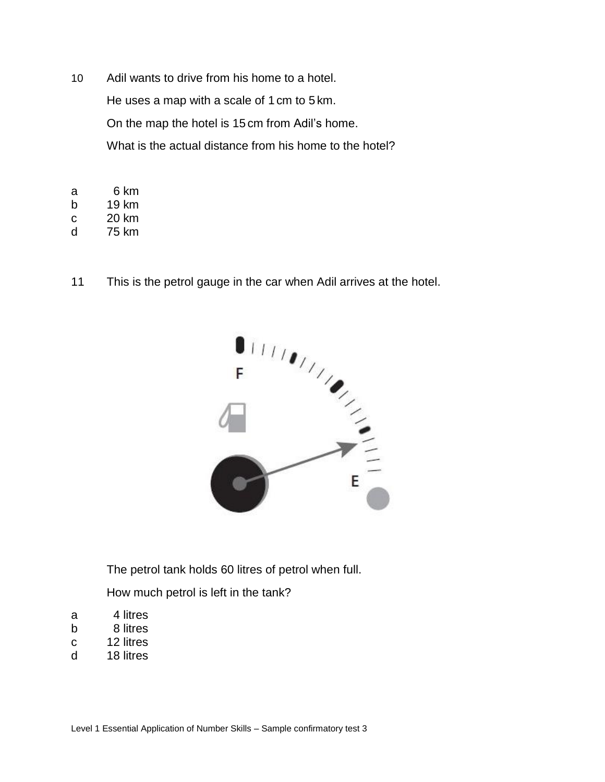- 10 Adil wants to drive from his home to a hotel. He uses a map with a scale of 1 cm to 5 km. On the map the hotel is 15 cm from Adil's home. What is the actual distance from his home to the hotel?
- a 6 km
- b 19 km
- c 20 km
- d 75 km
- 



The petrol tank holds 60 litres of petrol when full.

How much petrol is left in the tank?

- a 4 litres
- b 8 litres
- c 12 litres
- d 18 litres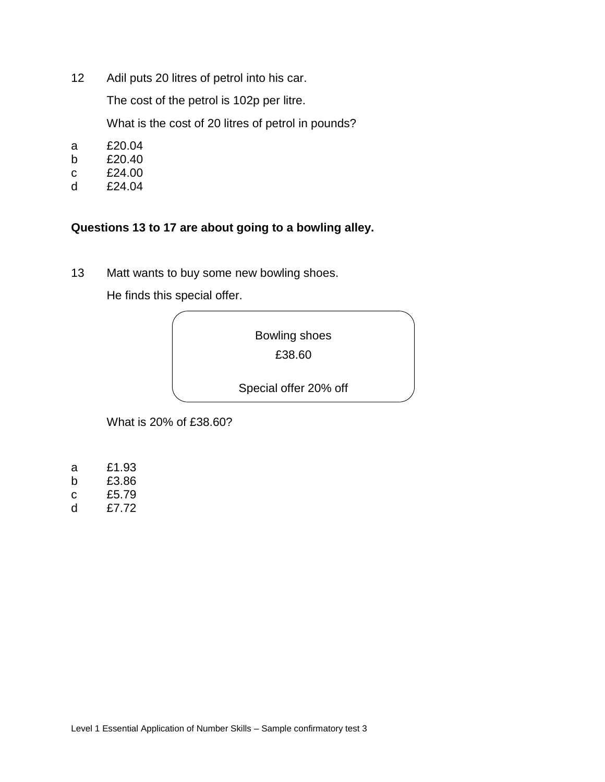12 Adil puts 20 litres of petrol into his car.

The cost of the petrol is 102p per litre.

What is the cost of 20 litres of petrol in pounds?

- a £20.04
- b £20.40
- c £24.00
- d £24.04

## **Questions 13 to 17 are about going to a bowling alley.**

13 Matt wants to buy some new bowling shoes.

He finds this special offer.



What is 20% of £38.60?

- a £1.93
- b £3.86
- c £5.79
- d £7.72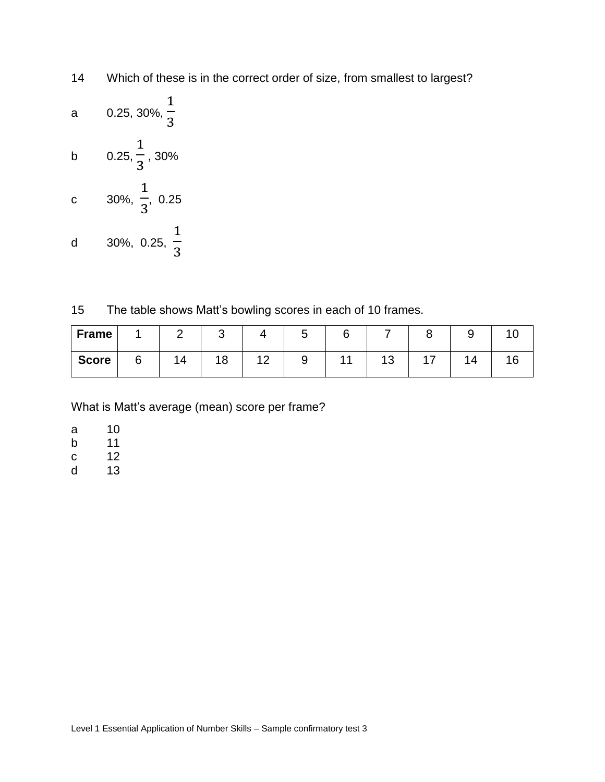- 14 Which of these is in the correct order of size, from smallest to largest?
- a 0.25, 30%, 1 3 b 0.25, 1 3 , 30% c 30%, 1 3 , 0.25 d 30%, 0.25, 1 3

15 The table shows Matt's bowling scores in each of 10 frames.

| <b>Frame</b> |   | ◠  | ັ  |    | u |    |         |                        |          |  |
|--------------|---|----|----|----|---|----|---------|------------------------|----------|--|
| <b>Score</b> | 0 | 14 | 18 | 10 |   | 11 | 12<br>ں | , <del>.,</del><br>. . | $\Delta$ |  |

What is Matt's average (mean) score per frame?

- a 10
- b 11
- c 12
- d 13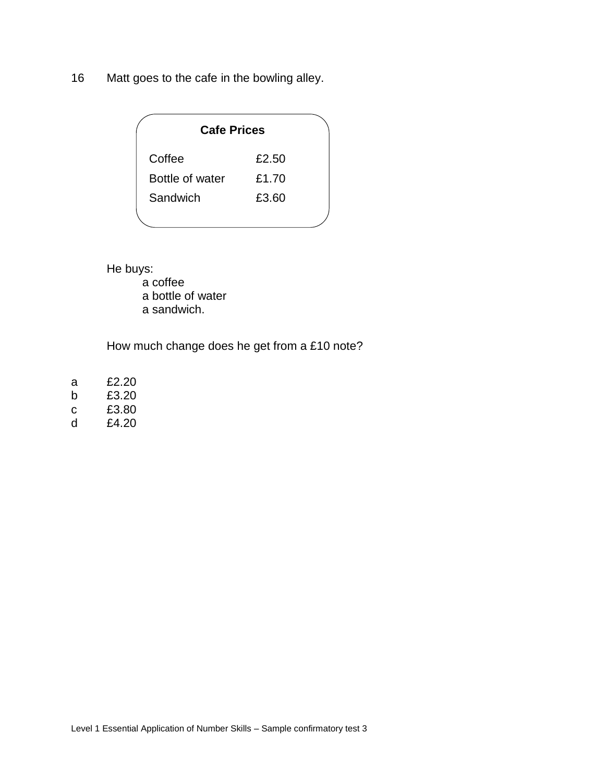16 Matt goes to the cafe in the bowling alley.

| <b>Cafe Prices</b> |       |  |  |  |  |
|--------------------|-------|--|--|--|--|
| Coffee             | £2.50 |  |  |  |  |
| Bottle of water    | £1.70 |  |  |  |  |
| Sandwich           | £3.60 |  |  |  |  |
|                    |       |  |  |  |  |

He buys:

a coffee a bottle of water

a sandwich.

How much change does he get from a £10 note?

| а | £2.20 |
|---|-------|
| h | £3.20 |
|   |       |

- c £3.80
- d £4.20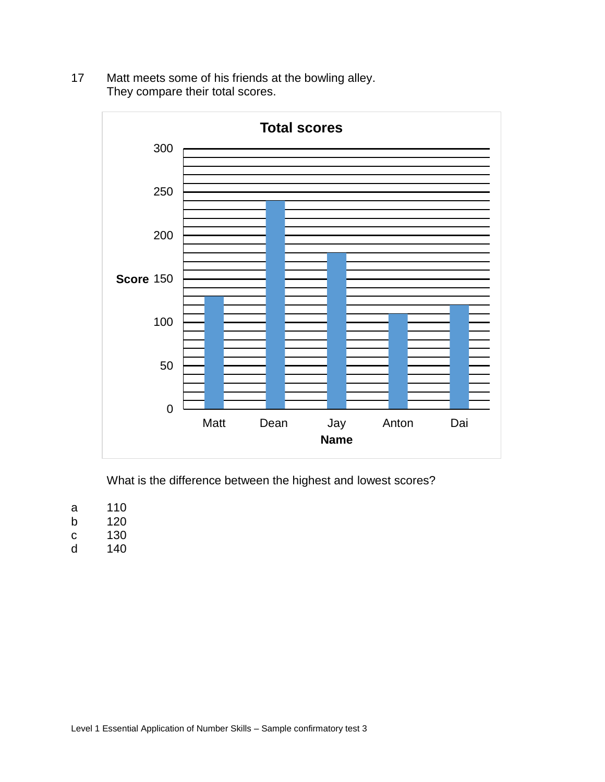17 Matt meets some of his friends at the bowling alley. They compare their total scores.



What is the difference between the highest and lowest scores?

- a 110
- b 120
- c 130
- d 140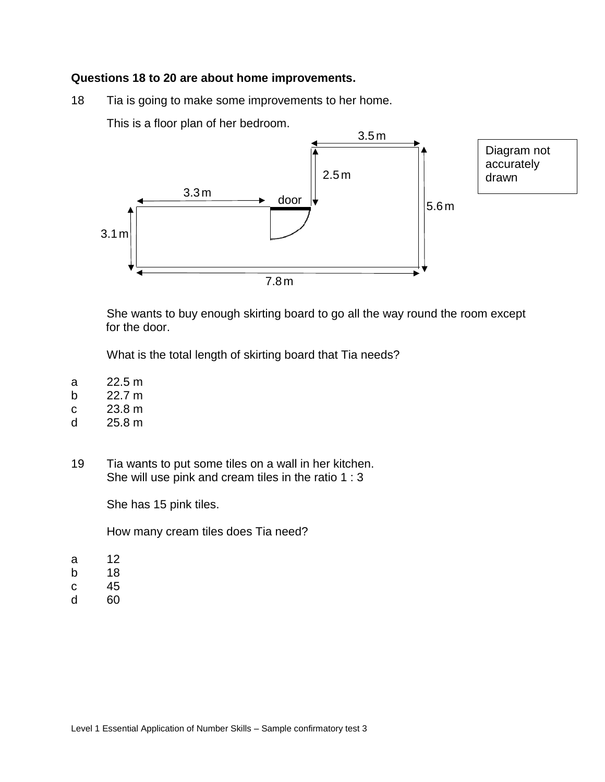#### **Questions 18 to 20 are about home improvements.**

18 Tia is going to make some improvements to her home.

This is a floor plan of her bedroom.



Diagram not accurately

She wants to buy enough skirting board to go all the way round the room except for the door.

What is the total length of skirting board that Tia needs?

- a 22.5 m
- b 22.7 m
- c 23.8 m
- d 25.8 m
- 19 Tia wants to put some tiles on a wall in her kitchen. She will use pink and cream tiles in the ratio 1 : 3

She has 15 pink tiles.

How many cream tiles does Tia need?

- a 12
- b 18
- c 45
- d 60